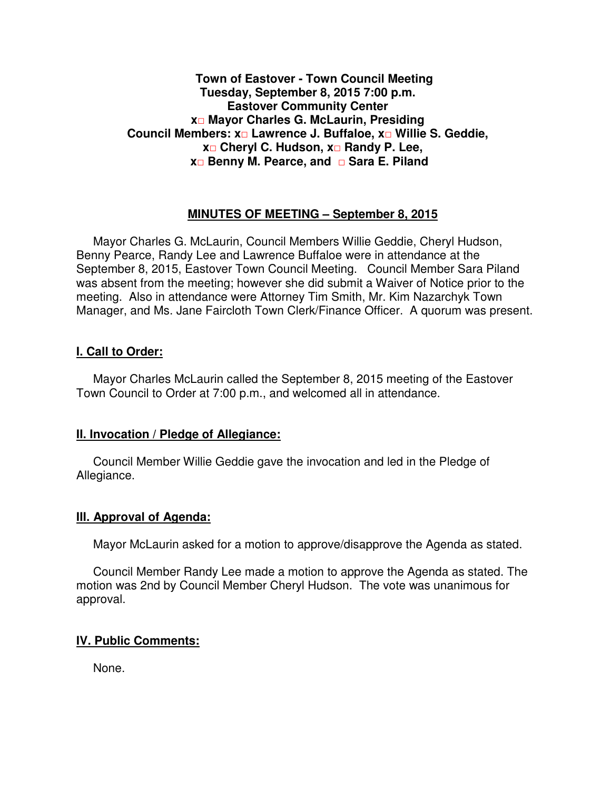#### **Town of Eastover - Town Council Meeting Tuesday, September 8, 2015 7:00 p.m. Eastover Community Center x□ Mayor Charles G. McLaurin, Presiding Council Members: x□ Lawrence J. Buffaloe, x□ Willie S. Geddie, x□ Cheryl C. Hudson, x□ Randy P. Lee, x□ Benny M. Pearce, and □ Sara E. Piland**

#### **MINUTES OF MEETING – September 8, 2015**

Mayor Charles G. McLaurin, Council Members Willie Geddie, Cheryl Hudson, Benny Pearce, Randy Lee and Lawrence Buffaloe were in attendance at the September 8, 2015, Eastover Town Council Meeting. Council Member Sara Piland was absent from the meeting; however she did submit a Waiver of Notice prior to the meeting. Also in attendance were Attorney Tim Smith, Mr. Kim Nazarchyk Town Manager, and Ms. Jane Faircloth Town Clerk/Finance Officer. A quorum was present.

#### **I. Call to Order:**

Mayor Charles McLaurin called the September 8, 2015 meeting of the Eastover Town Council to Order at 7:00 p.m., and welcomed all in attendance.

#### **II. Invocation / Pledge of Allegiance:**

 Council Member Willie Geddie gave the invocation and led in the Pledge of Allegiance.

#### **III. Approval of Agenda:**

Mayor McLaurin asked for a motion to approve/disapprove the Agenda as stated.

 Council Member Randy Lee made a motion to approve the Agenda as stated. The motion was 2nd by Council Member Cheryl Hudson. The vote was unanimous for approval.

## **IV. Public Comments:**

None.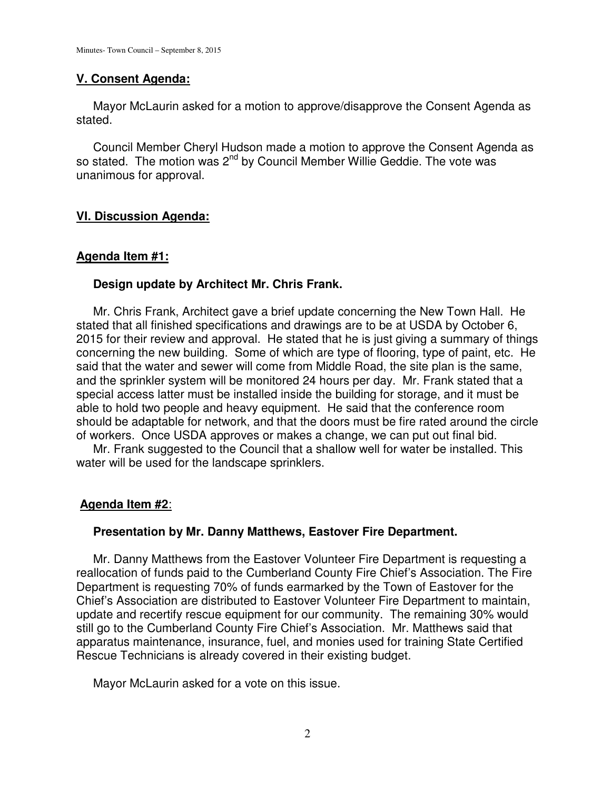#### **V. Consent Agenda:**

 Mayor McLaurin asked for a motion to approve/disapprove the Consent Agenda as stated.

 Council Member Cheryl Hudson made a motion to approve the Consent Agenda as so stated. The motion was 2<sup>nd</sup> by Council Member Willie Geddie. The vote was unanimous for approval.

### **VI. Discussion Agenda:**

#### **Agenda Item #1:**

#### **Design update by Architect Mr. Chris Frank.**

 Mr. Chris Frank, Architect gave a brief update concerning the New Town Hall. He stated that all finished specifications and drawings are to be at USDA by October 6, 2015 for their review and approval. He stated that he is just giving a summary of things concerning the new building. Some of which are type of flooring, type of paint, etc. He said that the water and sewer will come from Middle Road, the site plan is the same, and the sprinkler system will be monitored 24 hours per day. Mr. Frank stated that a special access latter must be installed inside the building for storage, and it must be able to hold two people and heavy equipment. He said that the conference room should be adaptable for network, and that the doors must be fire rated around the circle of workers. Once USDA approves or makes a change, we can put out final bid.

 Mr. Frank suggested to the Council that a shallow well for water be installed. This water will be used for the landscape sprinklers.

#### **Agenda Item #2**:

#### **Presentation by Mr. Danny Matthews, Eastover Fire Department.**

 Mr. Danny Matthews from the Eastover Volunteer Fire Department is requesting a reallocation of funds paid to the Cumberland County Fire Chief's Association. The Fire Department is requesting 70% of funds earmarked by the Town of Eastover for the Chief's Association are distributed to Eastover Volunteer Fire Department to maintain, update and recertify rescue equipment for our community. The remaining 30% would still go to the Cumberland County Fire Chief's Association. Mr. Matthews said that apparatus maintenance, insurance, fuel, and monies used for training State Certified Rescue Technicians is already covered in their existing budget.

Mayor McLaurin asked for a vote on this issue.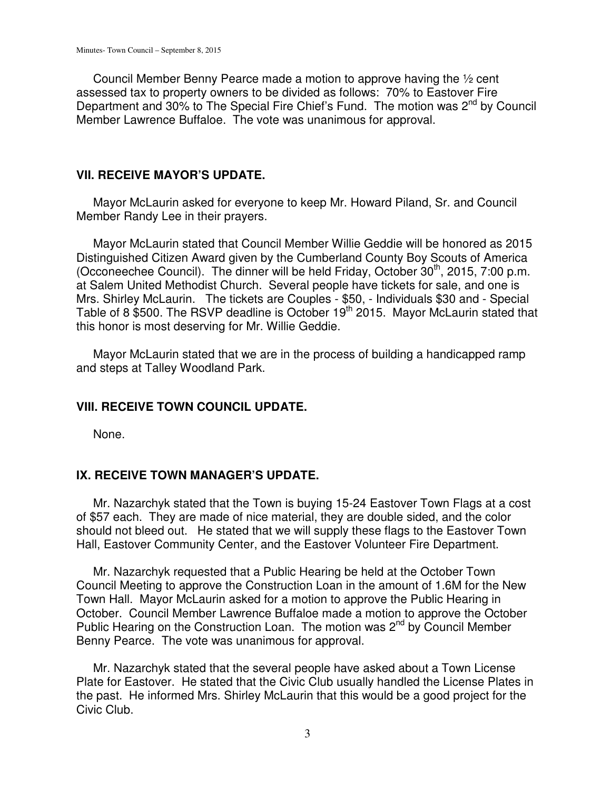Council Member Benny Pearce made a motion to approve having the ½ cent assessed tax to property owners to be divided as follows: 70% to Eastover Fire Department and 30% to The Special Fire Chief's Fund. The motion was 2<sup>nd</sup> by Council Member Lawrence Buffaloe. The vote was unanimous for approval.

#### **VII. RECEIVE MAYOR'S UPDATE.**

 Mayor McLaurin asked for everyone to keep Mr. Howard Piland, Sr. and Council Member Randy Lee in their prayers.

 Mayor McLaurin stated that Council Member Willie Geddie will be honored as 2015 Distinguished Citizen Award given by the Cumberland County Boy Scouts of America (Occoneechee Council). The dinner will be held Friday, October  $30<sup>th</sup>$ , 2015, 7:00 p.m. at Salem United Methodist Church. Several people have tickets for sale, and one is Mrs. Shirley McLaurin. The tickets are Couples - \$50, - Individuals \$30 and - Special Table of 8 \$500. The RSVP deadline is October 19<sup>th</sup> 2015. Mayor McLaurin stated that this honor is most deserving for Mr. Willie Geddie.

 Mayor McLaurin stated that we are in the process of building a handicapped ramp and steps at Talley Woodland Park.

#### **VIII. RECEIVE TOWN COUNCIL UPDATE.**

None.

#### **IX. RECEIVE TOWN MANAGER'S UPDATE.**

 Mr. Nazarchyk stated that the Town is buying 15-24 Eastover Town Flags at a cost of \$57 each. They are made of nice material, they are double sided, and the color should not bleed out. He stated that we will supply these flags to the Eastover Town Hall, Eastover Community Center, and the Eastover Volunteer Fire Department.

 Mr. Nazarchyk requested that a Public Hearing be held at the October Town Council Meeting to approve the Construction Loan in the amount of 1.6M for the New Town Hall. Mayor McLaurin asked for a motion to approve the Public Hearing in October. Council Member Lawrence Buffaloe made a motion to approve the October Public Hearing on the Construction Loan. The motion was 2<sup>nd</sup> by Council Member Benny Pearce. The vote was unanimous for approval.

 Mr. Nazarchyk stated that the several people have asked about a Town License Plate for Eastover. He stated that the Civic Club usually handled the License Plates in the past. He informed Mrs. Shirley McLaurin that this would be a good project for the Civic Club.